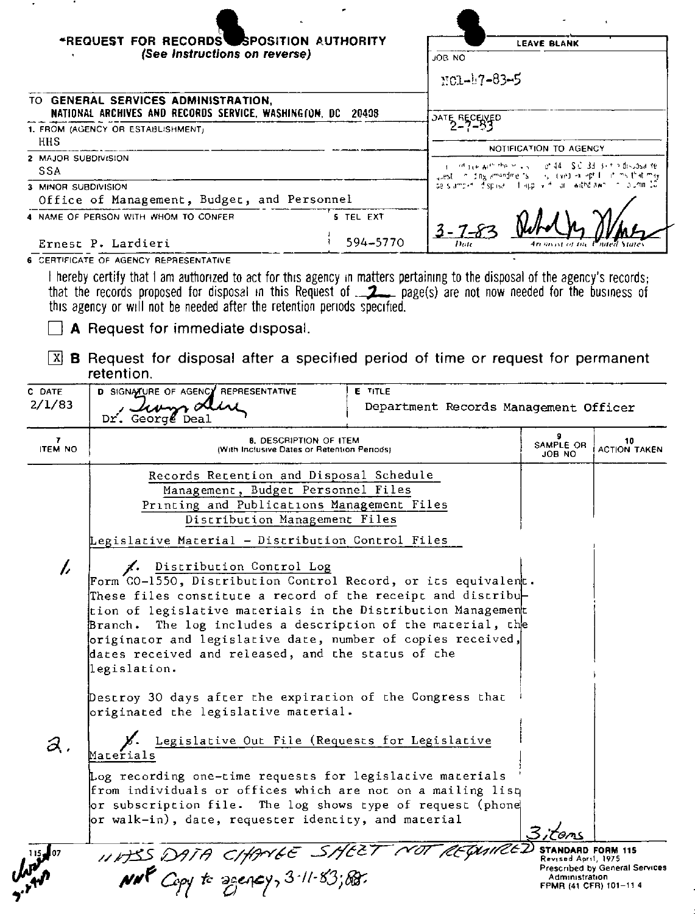|                                                                                                  | *REQUEST FOR RECORDS SPOSITION AUTHORITY<br>(See Instructions on reverse)                                                                                                                                                                                                                                                                                                                                                                |                       | JOB NO<br>NG1-17-83-5                                                                                                                                                                                                        | <b>LEAVE BLANK</b>  |                           |
|--------------------------------------------------------------------------------------------------|------------------------------------------------------------------------------------------------------------------------------------------------------------------------------------------------------------------------------------------------------------------------------------------------------------------------------------------------------------------------------------------------------------------------------------------|-----------------------|------------------------------------------------------------------------------------------------------------------------------------------------------------------------------------------------------------------------------|---------------------|---------------------------|
|                                                                                                  | TO GENERAL SERVICES ADMINISTRATION,                                                                                                                                                                                                                                                                                                                                                                                                      |                       |                                                                                                                                                                                                                              |                     |                           |
| NATIONAL ARCHIVES AND RECORDS SERVICE, WASHINGTON, DC 20408<br>1. FROM (AGENCY OR ESTABLISHMENT) |                                                                                                                                                                                                                                                                                                                                                                                                                                          |                       | JATE RECENED                                                                                                                                                                                                                 |                     |                           |
| HHS<br>2 MAJOR SUBDIVISION<br>SSA                                                                |                                                                                                                                                                                                                                                                                                                                                                                                                                          |                       | NOTIFICATION TO AGENCY<br>i international entire of 44 SC 3d 3 to the disposalite<br>usest in ding amondments in your coad in a light in this that may<br>de slamper. Espisal i frappi virit lar i withdizwn i milio amir 10 |                     |                           |
| 3 MINOR SUBDIVISION                                                                              | Office of Management, Budget, and Personnel                                                                                                                                                                                                                                                                                                                                                                                              |                       |                                                                                                                                                                                                                              |                     |                           |
|                                                                                                  | 4 NAME OF PERSON WITH WHOM TO CONFER<br>Ernest P. Lardieri                                                                                                                                                                                                                                                                                                                                                                               | 5 TEL EXT<br>594-5770 |                                                                                                                                                                                                                              |                     |                           |
|                                                                                                  | I hereby certify that I am authorized to act for this agency in matters pertaining to the disposal of the agency's records;<br>that the records proposed for disposal in this Request of _______ page(s) are not now needed for the business of<br>this agency or will not be needed after the retention periods specified.<br>A Request for immediate disposal.                                                                         |                       |                                                                                                                                                                                                                              |                     |                           |
| X <br>C DATE                                                                                     | <b>B</b> Request for disposal after a specified period of time or request for permanent<br>retention.<br>D SIGNATURE OF AGENCY REPRESENTATIVE                                                                                                                                                                                                                                                                                            | <b>E</b> TITLE        |                                                                                                                                                                                                                              |                     |                           |
|                                                                                                  | Dr. George Deal                                                                                                                                                                                                                                                                                                                                                                                                                          |                       | Department Records Management Officer                                                                                                                                                                                        |                     |                           |
| 2/1/83<br>7<br><b>ITEM NO</b>                                                                    | <b>8. DESCRIPTION OF ITEM</b><br>(With Inclusive Dates or Retention Periods)                                                                                                                                                                                                                                                                                                                                                             |                       |                                                                                                                                                                                                                              | SAMPLE OR<br>JOB NO | 10<br><b>ACTION TAKEN</b> |
|                                                                                                  | Records Recention and Disposal Schedule<br>Management, Budget Personnel Files<br>Printing and Publications Management Files<br>Discribution Management Files<br>Legislative Material - Distribution Control Files                                                                                                                                                                                                                        |                       |                                                                                                                                                                                                                              |                     |                           |
| $\overline{L}$                                                                                   | 1. Distribution Control Log<br>Form CO-1550, Discribution Control Record, or its equivalent.<br>These files constitute a record of the receipt and distribu $\vdash$<br>tion of legislative materials in the Distribution Management<br>Branch. The log includes a description of the material, the<br>originator and legislative date, number of copies received,<br>dates received and released, and the status of the<br>legislation. |                       |                                                                                                                                                                                                                              |                     |                           |

| $\partial$ .                   | Legislative Out File (Requests for Legislative<br>Materials                                                                                                                                                                                   |                                                                                                                      |
|--------------------------------|-----------------------------------------------------------------------------------------------------------------------------------------------------------------------------------------------------------------------------------------------|----------------------------------------------------------------------------------------------------------------------|
|                                | Log recording one-time requests for legislative materials<br>from individuals or offices which are not on a mailing lisq<br>or subscription file. The log shows type of request (phone<br>or walk-in), date, requester identity, and material | 3;tens                                                                                                               |
| $\mu_{\rm{A}}^{\rm{115\,J07}}$ | 11845 DATA CHANGE SHEET NOT REQUIRED<br>$M$ <sup>R</sup> Copy to agency, $3$ -11-83; RB.                                                                                                                                                      | STANDARD FORM 115<br>Revised April, 1975<br>Prescribed by General Service<br>Administration<br>FPMR (41 CFR) 101-114 |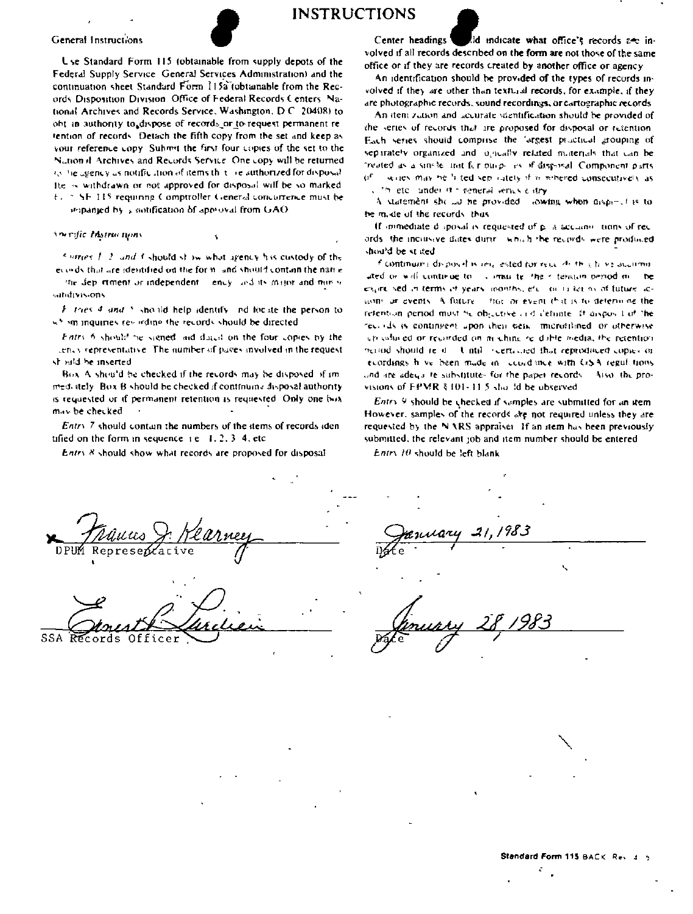## **INSTRUCTIONS**

## General Instructions

Lise Standard Form 115 (obtainable from supply depots of the Federal Supply Service General Services Administration) and the continuation sheet Standard Form 115a (obtainable from the Records Disposition Division. Office of Federal Records Centers, National Archives and Records Service, Washington, D.C. 20408) to obt in authority to dispose of records or to request permanent retention of records. Detach the fifth copy from the set and keep as your reference copy. Submit the first four copies of the set to the Nation if Archives and Records Service. One copy will be returned (s) the agency as notification of items that are authorized for disposal He is withdrawn or not approved for disposal will be so marked t. SF 115 requiring Comptroller General concurrence must be impanied by a notification of approval from GAO.

Ancefic Instructions

Surfaces  $f/2$  and 3 should show what areney has custedy of the evends that are identified on the form and should contain the name the dep rement or independent - ency and its major and more w

satidivisions. F. tries 4 and 5 should help identify and focate the person to

should be directed in intervals on the records should be directed

Entry 6 should be signed, and during on the four copies by the lency representative. The number of paces involved in the request should be inserted

Box A should be checked if the records may be disposed of immed. stely. Box B should be checked if continuing disposal authority is requested or if permanent retention is requested. Only one box may be checked.

Entry 7 should contain the numbers of the items of records iden tified on the form in sequence  $i \in \{1, 2, 3, 4, \text{etc.}\}$ 

Entry 8 should show what records are proposed for disposal

Center headings lid indicate what office's records are involved if all records described on the form are not those of the same office or if they are records created by another office or agency.

An identification should be provided of the types of records involved if they are other than textural records, for example, if they are photographic records, sound recordings, or cartographic records

An item zution and accurate stentification should be provided of the series of records that are proposed for disposal or retention. Each series should comprise the 'argest practical grouping of separately organized and logically related materials that can be treated as a single limit for ourpe are if disposal. Component parts writes may be 'i ted sep rately if is rehered consecutively as commeter under it is reneral verics a stry

A statement she las he provided. Jowing when dispend is to be mode of the records. thus

If immediate d sposal is requested of p. a accumulations of records the inclusive dates during which the records were produced should be stilled.

fliontmum) disposal is lettered for result that have accumuated or will continue to commisite. their tendom period me  $\mathbf{R}$ expressed in terms of years inonths, etc. or is terms of future acsions or events. A future of the or event that is to determine the referition period must be objective and definite. It usings I of the receives a contingent upon their peak. microfilmed or otherwise up colored or recorded on machine re-dable media, the retention beyond should read. Untill a certained that reproduced copies or ecordings hove been made in coordance with GSA regulations and are adequine substitutes for the paper records. Also, the provisions of EPMR § 101-11.5 sholld be observed.

Entry 9 should be checked if samples are submitted for an item However, samples of the records are not required unless they are requested by the NARS appraiser. If an item has been previously submitted, the relevant job and item number should be entered

 $E$ ntry 10 should be left blank

SSA Officer Récords.

Standard Form 115 BACK, Rev. 3, 5